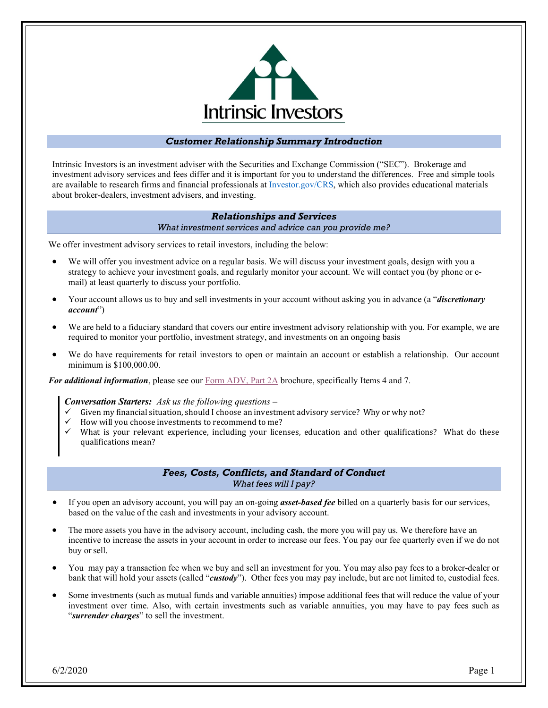

# *Customer Relationship Summary Introduction*

Intrinsic Investors is an investment adviser with the Securities and Exchange Commission ("SEC"). Brokerage and investment advisory services and fees differ and it is important for you to understand the differences. Free and simple tools are available to research firms and financial professionals a[t Investor.gov/CRS,](https://www.investor.gov/CRS) which also provides educational materials about broker-dealers, investment advisers, and investing.

### *Relationships and Services*

*What investment services and advice can you provide me?*

We offer investment advisory services to retail investors, including the below:

- We will offer you investment advice on a regular basis. We will discuss your investment goals, design with you a strategy to achieve your investment goals, and regularly monitor your account. We will contact you (by phone or e‐ mail) at least quarterly to discuss your portfolio.
- Your account allows us to buy and sell investments in your account without asking you in advance (a "*discretionary account*")
- We are held to a fiduciary standard that covers our entire investment advisory relationship with you. For example, we are required to monitor your portfolio, investment strategy, and investments on an ongoing basis
- We do have requirements for retail investors to open or maintain an account or establish a relationship. Our account minimum is \$100,000.00.

*For additional information*, please see our **Form ADV**, Part 2A brochure, specifically Items 4 and 7.

*Conversation Starters: Ask us the following questions –*

- $\checkmark$  Given my financial situation, should I choose an investment advisory service? Why or why not?
- How will you choose investments to recommend to me?
- What is your relevant experience, including your licenses, education and other qualifications? What do these qualifications mean?

# *Fees, Costs, Conflicts, and Standard of Conduct What fees will I pay?*

- If you open an advisory account, you will pay an on‐going *asset‐based fee* billed on a quarterly basis for our services, based on the value of the cash and investments in your advisory account.
- The more assets you have in the advisory account, including cash, the more you will pay us. We therefore have an incentive to increase the assets in your account in order to increase our fees. You pay our fee quarterly even if we do not buy or sell.
- You may pay a transaction fee when we buy and sell an investment for you. You may also pay fees to a broker‐dealer or bank that will hold your assets (called "*custody*"). Other fees you may pay include, but are not limited to, custodial fees.
- Some investments (such as mutual funds and variable annuities) impose additional fees that will reduce the value of your investment over time. Also, with certain investments such as variable annuities, you may have to pay fees such as "*surrender charges*" to sell the investment.